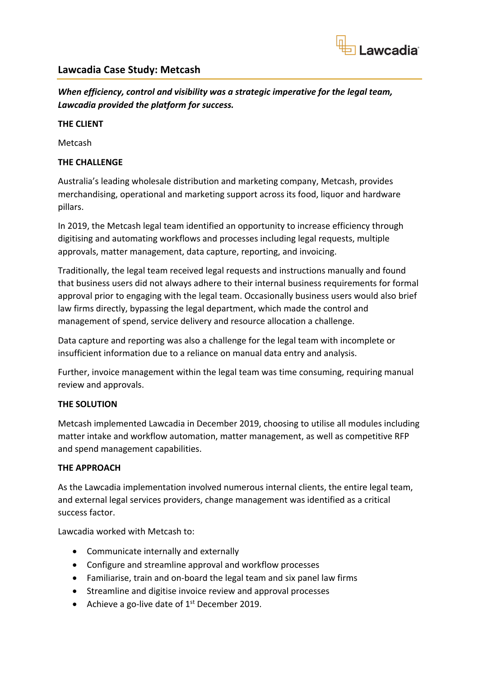

# **Lawcadia Case Study: Metcash**

*When efficiency, control and visibility was a strategic imperative for the legal team, Lawcadia provided the platform for success.*

#### **THE CLIENT**

Metcash

## **THE CHALLENGE**

Australia's leading wholesale distribution and marketing company, Metcash, provides merchandising, operational and marketing support across its food, liquor and hardware pillars.

In 2019, the Metcash legal team identified an opportunity to increase efficiency through digitising and automating workflows and processes including legal requests, multiple approvals, matter management, data capture, reporting, and invoicing.

Traditionally, the legal team received legal requests and instructions manually and found that business users did not always adhere to their internal business requirements for formal approval prior to engaging with the legal team. Occasionally business users would also brief law firms directly, bypassing the legal department, which made the control and management of spend, service delivery and resource allocation a challenge.

Data capture and reporting was also a challenge for the legal team with incomplete or insufficient information due to a reliance on manual data entry and analysis.

Further, invoice management within the legal team was time consuming, requiring manual review and approvals.

#### **THE SOLUTION**

Metcash implemented Lawcadia in December 2019, choosing to utilise all modules including matter intake and workflow automation, matter management, as well as competitive RFP and spend management capabilities.

#### **THE APPROACH**

As the Lawcadia implementation involved numerous internal clients, the entire legal team, and external legal services providers, change management was identified as a critical success factor.

Lawcadia worked with Metcash to:

- Communicate internally and externally
- Configure and streamline approval and workflow processes
- Familiarise, train and on-board the legal team and six panel law firms
- Streamline and digitise invoice review and approval processes
- Achieve a go-live date of  $1<sup>st</sup>$  December 2019.